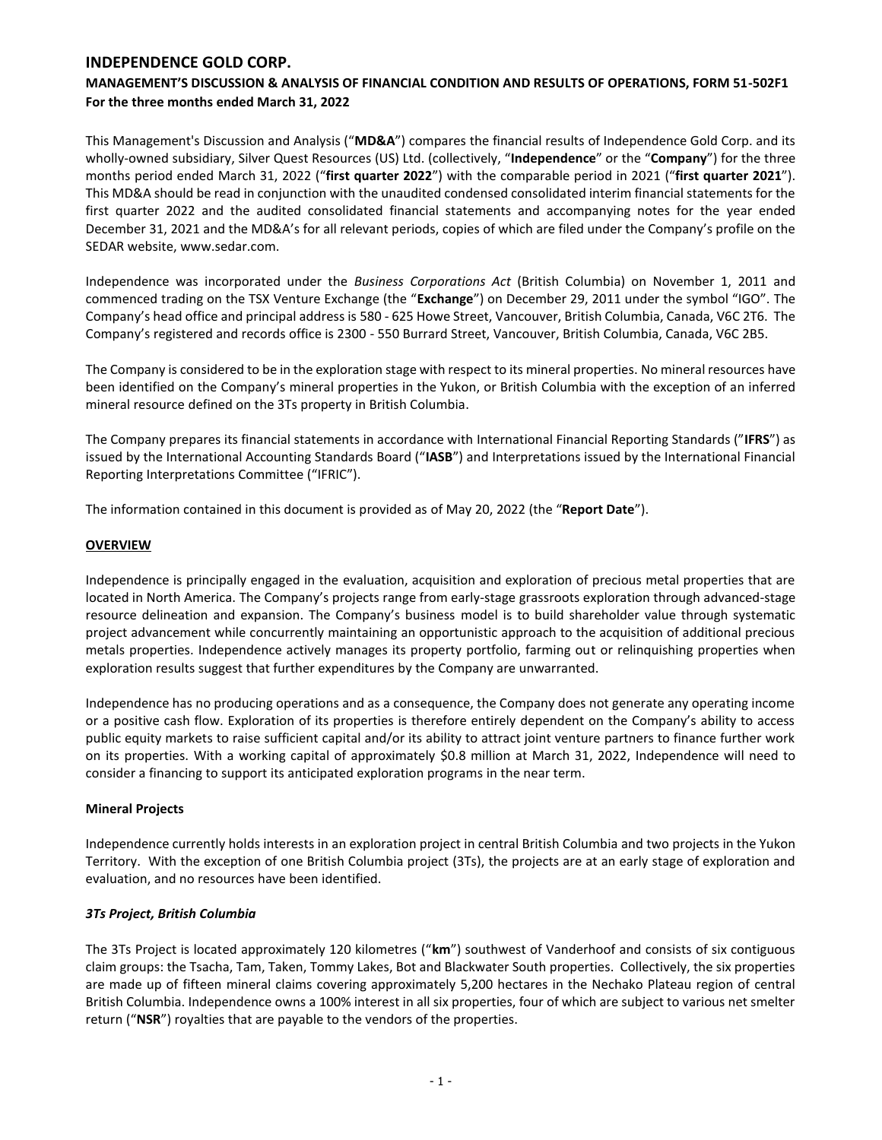# **MANAGEMENT'S DISCUSSION & ANALYSIS OF FINANCIAL CONDITION AND RESULTS OF OPERATIONS, FORM 51-502F1 For the three months ended March 31, 2022**

This Management's Discussion and Analysis ("**MD&A**") compares the financial results of Independence Gold Corp. and its wholly-owned subsidiary, Silver Quest Resources (US) Ltd. (collectively, "**Independence**" or the "**Company**") for the three months period ended March 31, 2022 ("**first quarter 2022**") with the comparable period in 2021 ("**first quarter 2021**"). This MD&A should be read in conjunction with the unaudited condensed consolidated interim financial statements for the first quarter 2022 and the audited consolidated financial statements and accompanying notes for the year ended December 31, 2021 and the MD&A's for all relevant periods, copies of which are filed under the Company's profile on the SEDAR website, www.sedar.com.

Independence was incorporated under the *Business Corporations Act* (British Columbia) on November 1, 2011 and commenced trading on the TSX Venture Exchange (the "**Exchange**") on December 29, 2011 under the symbol "IGO". The Company's head office and principal address is 580 - 625 Howe Street, Vancouver, British Columbia, Canada, V6C 2T6. The Company's registered and records office is 2300 - 550 Burrard Street, Vancouver, British Columbia, Canada, V6C 2B5.

The Company is considered to be in the exploration stage with respect to its mineral properties. No mineral resources have been identified on the Company's mineral properties in the Yukon, or British Columbia with the exception of an inferred mineral resource defined on the 3Ts property in British Columbia.

The Company prepares its financial statements in accordance with International Financial Reporting Standards ("**IFRS**") as issued by the International Accounting Standards Board ("**IASB**") and Interpretations issued by the International Financial Reporting Interpretations Committee ("IFRIC").

The information contained in this document is provided as of May 20, 2022 (the "**Report Date**").

## **OVERVIEW**

Independence is principally engaged in the evaluation, acquisition and exploration of precious metal properties that are located in North America. The Company's projects range from early-stage grassroots exploration through advanced-stage resource delineation and expansion. The Company's business model is to build shareholder value through systematic project advancement while concurrently maintaining an opportunistic approach to the acquisition of additional precious metals properties. Independence actively manages its property portfolio, farming out or relinquishing properties when exploration results suggest that further expenditures by the Company are unwarranted.

Independence has no producing operations and as a consequence, the Company does not generate any operating income or a positive cash flow. Exploration of its properties is therefore entirely dependent on the Company's ability to access public equity markets to raise sufficient capital and/or its ability to attract joint venture partners to finance further work on its properties. With a working capital of approximately \$0.8 million at March 31, 2022, Independence will need to consider a financing to support its anticipated exploration programs in the near term.

## **Mineral Projects**

Independence currently holds interests in an exploration project in central British Columbia and two projects in the Yukon Territory. With the exception of one British Columbia project (3Ts), the projects are at an early stage of exploration and evaluation, and no resources have been identified.

## *3Ts Project, British Columbia*

The 3Ts Project is located approximately 120 kilometres ("**km**") southwest of Vanderhoof and consists of six contiguous claim groups: the Tsacha, Tam, Taken, Tommy Lakes, Bot and Blackwater South properties. Collectively, the six properties are made up of fifteen mineral claims covering approximately 5,200 hectares in the Nechako Plateau region of central British Columbia. Independence owns a 100% interest in all six properties, four of which are subject to various net smelter return ("**NSR**") royalties that are payable to the vendors of the properties.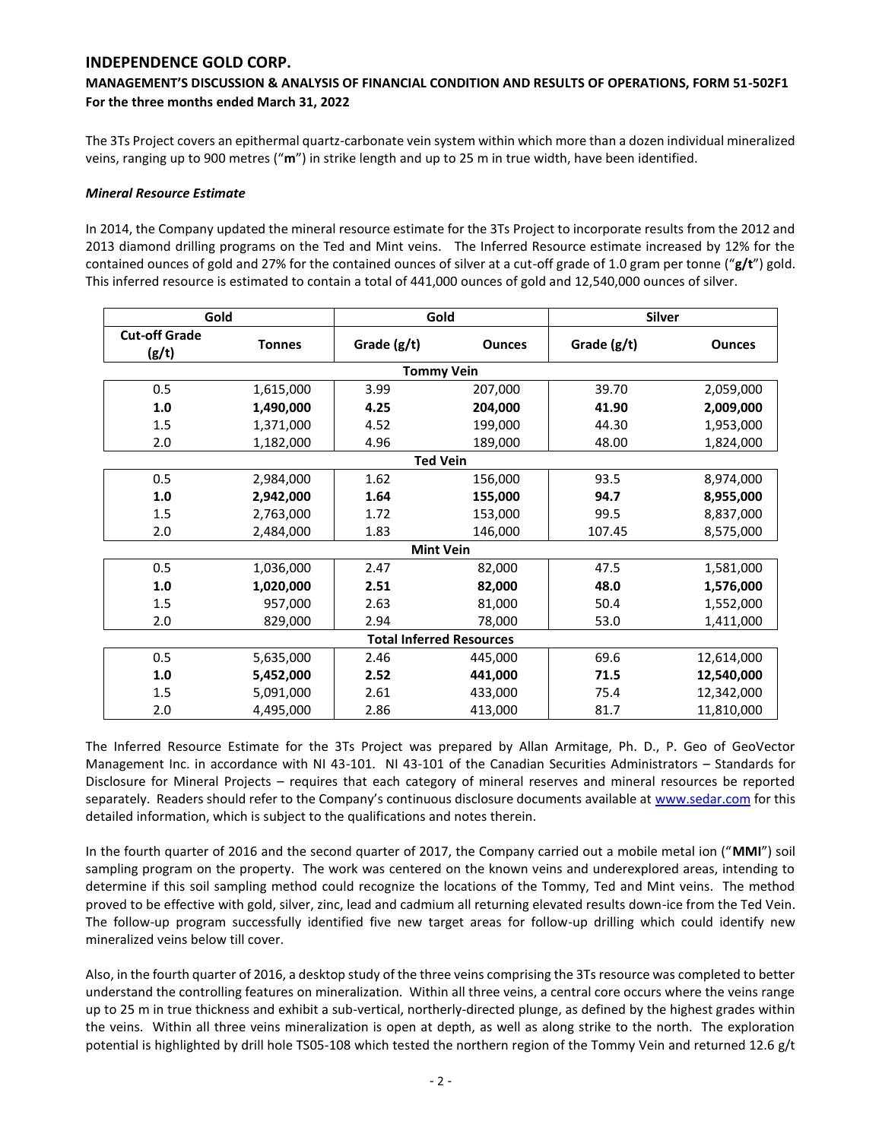# **MANAGEMENT'S DISCUSSION & ANALYSIS OF FINANCIAL CONDITION AND RESULTS OF OPERATIONS, FORM 51-502F1 For the three months ended March 31, 2022**

The 3Ts Project covers an epithermal quartz-carbonate vein system within which more than a dozen individual mineralized veins, ranging up to 900 metres ("**m**") in strike length and up to 25 m in true width, have been identified.

### *Mineral Resource Estimate*

In 2014, the Company updated the mineral resource estimate for the 3Ts Project to incorporate results from the 2012 and 2013 diamond drilling programs on the Ted and Mint veins. The Inferred Resource estimate increased by 12% for the contained ounces of gold and 27% for the contained ounces of silver at a cut-off grade of 1.0 gram per tonne ("**g/t**") gold. This inferred resource is estimated to contain a total of 441,000 ounces of gold and 12,540,000 ounces of silver.

|                                 | Gold             |                   | Gold          | <b>Silver</b> |               |  |  |
|---------------------------------|------------------|-------------------|---------------|---------------|---------------|--|--|
| <b>Cut-off Grade</b><br>(g/t)   | <b>Tonnes</b>    | Grade (g/t)       | <b>Ounces</b> | Grade $(g/t)$ | <b>Ounces</b> |  |  |
|                                 |                  | <b>Tommy Vein</b> |               |               |               |  |  |
| 0.5                             | 1,615,000        | 3.99              | 207,000       | 39.70         | 2,059,000     |  |  |
| 1.0                             | 1,490,000        | 4.25              | 204,000       | 41.90         | 2,009,000     |  |  |
| 1.5                             | 1,371,000        | 4.52              | 199,000       | 44.30         | 1,953,000     |  |  |
| 2.0                             | 1,182,000        | 4.96              | 189,000       | 48.00         | 1,824,000     |  |  |
| <b>Ted Vein</b>                 |                  |                   |               |               |               |  |  |
| 0.5                             | 2,984,000        | 1.62              | 156,000       | 93.5          | 8,974,000     |  |  |
| 1.0                             | 2,942,000        | 1.64              | 155,000       | 94.7          | 8,955,000     |  |  |
| 1.5                             | 2,763,000        | 1.72              | 153,000       | 99.5          | 8,837,000     |  |  |
| 2.0                             | 2,484,000        | 1.83              | 146,000       | 107.45        | 8,575,000     |  |  |
|                                 | <b>Mint Vein</b> |                   |               |               |               |  |  |
| 0.5                             | 1,036,000        | 2.47              | 82,000        | 47.5          | 1,581,000     |  |  |
| 1.0                             | 1,020,000        | 2.51              | 82,000        | 48.0          | 1,576,000     |  |  |
| 1.5                             | 957,000          | 2.63              | 81,000        | 50.4          | 1,552,000     |  |  |
| 2.0                             | 829,000          | 2.94              | 78,000        | 53.0          | 1,411,000     |  |  |
| <b>Total Inferred Resources</b> |                  |                   |               |               |               |  |  |
| 0.5                             | 5,635,000        | 2.46              | 445,000       | 69.6          | 12,614,000    |  |  |
| 1.0                             | 5,452,000        | 2.52              | 441,000       | 71.5          | 12,540,000    |  |  |
| 1.5                             | 5,091,000        | 2.61              | 433,000       | 75.4          | 12,342,000    |  |  |
| 2.0                             | 4,495,000        | 2.86              | 413,000       | 81.7          | 11,810,000    |  |  |

The Inferred Resource Estimate for the 3Ts Project was prepared by Allan Armitage, Ph. D., P. Geo of GeoVector Management Inc. in accordance with NI 43-101. NI 43-101 of the Canadian Securities Administrators – Standards for Disclosure for Mineral Projects – requires that each category of mineral reserves and mineral resources be reported separately. Readers should refer to the Company's continuous disclosure documents available at [www.sedar.com](http://www.sedar.com/) for this detailed information, which is subject to the qualifications and notes therein.

In the fourth quarter of 2016 and the second quarter of 2017, the Company carried out a mobile metal ion ("**MMI**") soil sampling program on the property. The work was centered on the known veins and underexplored areas, intending to determine if this soil sampling method could recognize the locations of the Tommy, Ted and Mint veins. The method proved to be effective with gold, silver, zinc, lead and cadmium all returning elevated results down-ice from the Ted Vein. The follow-up program successfully identified five new target areas for follow-up drilling which could identify new mineralized veins below till cover.

Also, in the fourth quarter of 2016, a desktop study of the three veins comprising the 3Ts resource was completed to better understand the controlling features on mineralization. Within all three veins, a central core occurs where the veins range up to 25 m in true thickness and exhibit a sub-vertical, northerly-directed plunge, as defined by the highest grades within the veins. Within all three veins mineralization is open at depth, as well as along strike to the north. The exploration potential is highlighted by drill hole TS05-108 which tested the northern region of the Tommy Vein and returned 12.6 g/t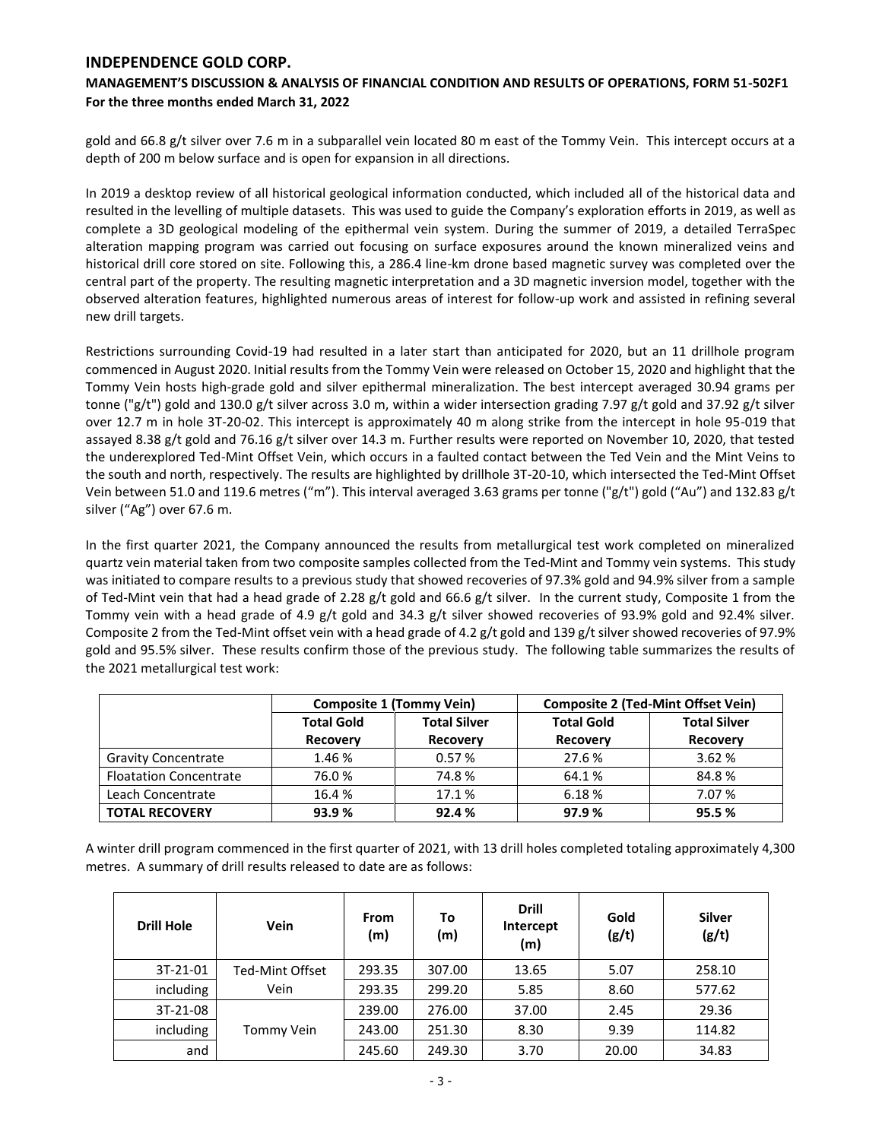# **MANAGEMENT'S DISCUSSION & ANALYSIS OF FINANCIAL CONDITION AND RESULTS OF OPERATIONS, FORM 51-502F1 For the three months ended March 31, 2022**

gold and 66.8 g/t silver over 7.6 m in a subparallel vein located 80 m east of the Tommy Vein. This intercept occurs at a depth of 200 m below surface and is open for expansion in all directions.

In 2019 a desktop review of all historical geological information conducted, which included all of the historical data and resulted in the levelling of multiple datasets. This was used to guide the Company's exploration efforts in 2019, as well as complete a 3D geological modeling of the epithermal vein system. During the summer of 2019, a detailed TerraSpec alteration mapping program was carried out focusing on surface exposures around the known mineralized veins and historical drill core stored on site. Following this, a 286.4 line-km drone based magnetic survey was completed over the central part of the property. The resulting magnetic interpretation and a 3D magnetic inversion model, together with the observed alteration features, highlighted numerous areas of interest for follow-up work and assisted in refining several new drill targets.

Restrictions surrounding Covid-19 had resulted in a later start than anticipated for 2020, but an 11 drillhole program commenced in August 2020. Initial results from the Tommy Vein were released on October 15, 2020 and highlight that the Tommy Vein hosts high-grade gold and silver epithermal mineralization. The best intercept averaged 30.94 grams per tonne ("g/t") gold and 130.0 g/t silver across 3.0 m, within a wider intersection grading 7.97 g/t gold and 37.92 g/t silver over 12.7 m in hole 3T-20-02. This intercept is approximately 40 m along strike from the intercept in hole 95-019 that assayed 8.38 g/t gold and 76.16 g/t silver over 14.3 m. Further results were reported on November 10, 2020, that tested the underexplored Ted-Mint Offset Vein, which occurs in a faulted contact between the Ted Vein and the Mint Veins to the south and north, respectively. The results are highlighted by drillhole 3T-20-10, which intersected the Ted-Mint Offset Vein between 51.0 and 119.6 metres ("m"). This interval averaged 3.63 grams per tonne ("g/t") gold ("Au") and 132.83 g/t silver ("Ag") over 67.6 m.

In the first quarter 2021, the Company announced the results from metallurgical test work completed on mineralized quartz vein material taken from two composite samples collected from the Ted-Mint and Tommy vein systems. This study was initiated to compare results to a previous study that showed recoveries of 97.3% gold and 94.9% silver from a sample of Ted-Mint vein that had a head grade of 2.28 g/t gold and 66.6 g/t silver. In the current study, Composite 1 from the Tommy vein with a head grade of 4.9 g/t gold and 34.3 g/t silver showed recoveries of 93.9% gold and 92.4% silver. Composite 2 from the Ted-Mint offset vein with a head grade of 4.2 g/t gold and 139 g/t silver showed recoveries of 97.9% gold and 95.5% silver. These results confirm those of the previous study. The following table summarizes the results of the 2021 metallurgical test work:

|                               |                   | <b>Composite 1 (Tommy Vein)</b> | <b>Composite 2 (Ted-Mint Offset Vein)</b> |                     |  |  |
|-------------------------------|-------------------|---------------------------------|-------------------------------------------|---------------------|--|--|
|                               | <b>Total Gold</b> | <b>Total Silver</b>             | <b>Total Gold</b>                         | <b>Total Silver</b> |  |  |
|                               | <b>Recovery</b>   | <b>Recovery</b>                 | <b>Recovery</b>                           | <b>Recovery</b>     |  |  |
| <b>Gravity Concentrate</b>    | 1.46 %            | 0.57%                           | 27.6 %                                    | 3.62%               |  |  |
| <b>Floatation Concentrate</b> | 76.0%             | 74.8%                           | 64.1%                                     | 84.8%               |  |  |
| Leach Concentrate             | 16.4 %            | 17.1 %                          | 6.18%                                     | 7.07 %              |  |  |
| <b>TOTAL RECOVERY</b>         | 93.9%             | 92.4%                           | 97.9%                                     | 95.5%               |  |  |

A winter drill program commenced in the first quarter of 2021, with 13 drill holes completed totaling approximately 4,300 metres. A summary of drill results released to date are as follows:

| <b>Drill Hole</b> | <b>Vein</b>     | <b>From</b><br>(m) | To<br>(m) | <b>Drill</b><br>Intercept<br>(m) | Gold<br>(g/t) | <b>Silver</b><br>(g/t) |
|-------------------|-----------------|--------------------|-----------|----------------------------------|---------------|------------------------|
| 3T-21-01          | Ted-Mint Offset | 293.35             | 307.00    | 13.65                            | 5.07          | 258.10                 |
| including         | Vein            | 293.35             | 299.20    | 5.85                             | 8.60          | 577.62                 |
| 3T-21-08          |                 | 239.00             | 276.00    | 37.00                            | 2.45          | 29.36                  |
| including         | Tommy Vein      | 243.00             | 251.30    | 8.30                             | 9.39          | 114.82                 |
| and               |                 | 245.60             | 249.30    | 3.70                             | 20.00         | 34.83                  |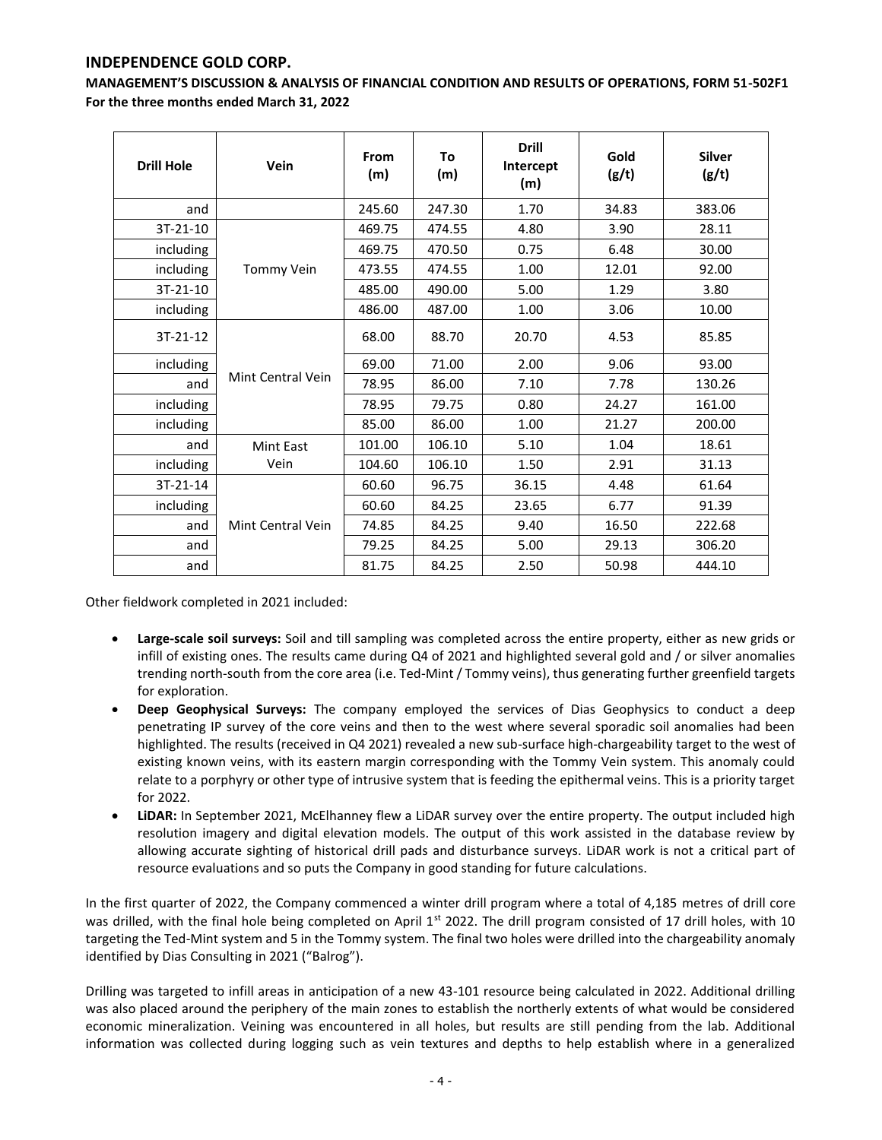**MANAGEMENT'S DISCUSSION & ANALYSIS OF FINANCIAL CONDITION AND RESULTS OF OPERATIONS, FORM 51-502F1 For the three months ended March 31, 2022**

| <b>Drill Hole</b> | Vein              | From<br>(m) | To<br>(m) | <b>Drill</b><br>Intercept<br>(m) | Gold<br>(g/t) | <b>Silver</b><br>(g/t) |
|-------------------|-------------------|-------------|-----------|----------------------------------|---------------|------------------------|
| and               |                   | 245.60      | 247.30    | 1.70                             | 34.83         | 383.06                 |
| 3T-21-10          |                   | 469.75      | 474.55    | 4.80                             | 3.90          | 28.11                  |
| including         |                   | 469.75      | 470.50    | 0.75                             | 6.48          | 30.00                  |
| including         | Tommy Vein        | 473.55      | 474.55    | 1.00                             | 12.01         | 92.00                  |
| 3T-21-10          |                   | 485.00      | 490.00    | 5.00                             | 1.29          | 3.80                   |
| including         |                   | 486.00      | 487.00    | 1.00                             | 3.06          | 10.00                  |
| 3T-21-12          |                   | 68.00       | 88.70     | 20.70                            | 4.53          | 85.85                  |
| including         |                   | 69.00       | 71.00     | 2.00                             | 9.06          | 93.00                  |
| and               | Mint Central Vein | 78.95       | 86.00     | 7.10                             | 7.78          | 130.26                 |
| including         |                   | 78.95       | 79.75     | 0.80                             | 24.27         | 161.00                 |
| including         |                   | 85.00       | 86.00     | 1.00                             | 21.27         | 200.00                 |
| and               | <b>Mint East</b>  | 101.00      | 106.10    | 5.10                             | 1.04          | 18.61                  |
| including         | Vein              | 104.60      | 106.10    | 1.50                             | 2.91          | 31.13                  |
| 3T-21-14          |                   | 60.60       | 96.75     | 36.15                            | 4.48          | 61.64                  |
| including         |                   | 60.60       | 84.25     | 23.65                            | 6.77          | 91.39                  |
| and               | Mint Central Vein | 74.85       | 84.25     | 9.40                             | 16.50         | 222.68                 |
| and               |                   | 79.25       | 84.25     | 5.00                             | 29.13         | 306.20                 |
| and               |                   | 81.75       | 84.25     | 2.50                             | 50.98         | 444.10                 |

Other fieldwork completed in 2021 included:

- **Large-scale soil surveys:** Soil and till sampling was completed across the entire property, either as new grids or infill of existing ones. The results came during Q4 of 2021 and highlighted several gold and / or silver anomalies trending north-south from the core area (i.e. Ted-Mint / Tommy veins), thus generating further greenfield targets for exploration.
- **Deep Geophysical Surveys:** The company employed the services of Dias Geophysics to conduct a deep penetrating IP survey of the core veins and then to the west where several sporadic soil anomalies had been highlighted. The results (received in Q4 2021) revealed a new sub-surface high-chargeability target to the west of existing known veins, with its eastern margin corresponding with the Tommy Vein system. This anomaly could relate to a porphyry or other type of intrusive system that is feeding the epithermal veins. This is a priority target for 2022.
- **LiDAR:** In September 2021, McElhanney flew a LiDAR survey over the entire property. The output included high resolution imagery and digital elevation models. The output of this work assisted in the database review by allowing accurate sighting of historical drill pads and disturbance surveys. LiDAR work is not a critical part of resource evaluations and so puts the Company in good standing for future calculations.

In the first quarter of 2022, the Company commenced a winter drill program where a total of 4,185 metres of drill core was drilled, with the final hole being completed on April  $1<sup>st</sup>$  2022. The drill program consisted of 17 drill holes, with 10 targeting the Ted-Mint system and 5 in the Tommy system. The final two holes were drilled into the chargeability anomaly identified by Dias Consulting in 2021 ("Balrog").

Drilling was targeted to infill areas in anticipation of a new 43-101 resource being calculated in 2022. Additional drilling was also placed around the periphery of the main zones to establish the northerly extents of what would be considered economic mineralization. Veining was encountered in all holes, but results are still pending from the lab. Additional information was collected during logging such as vein textures and depths to help establish where in a generalized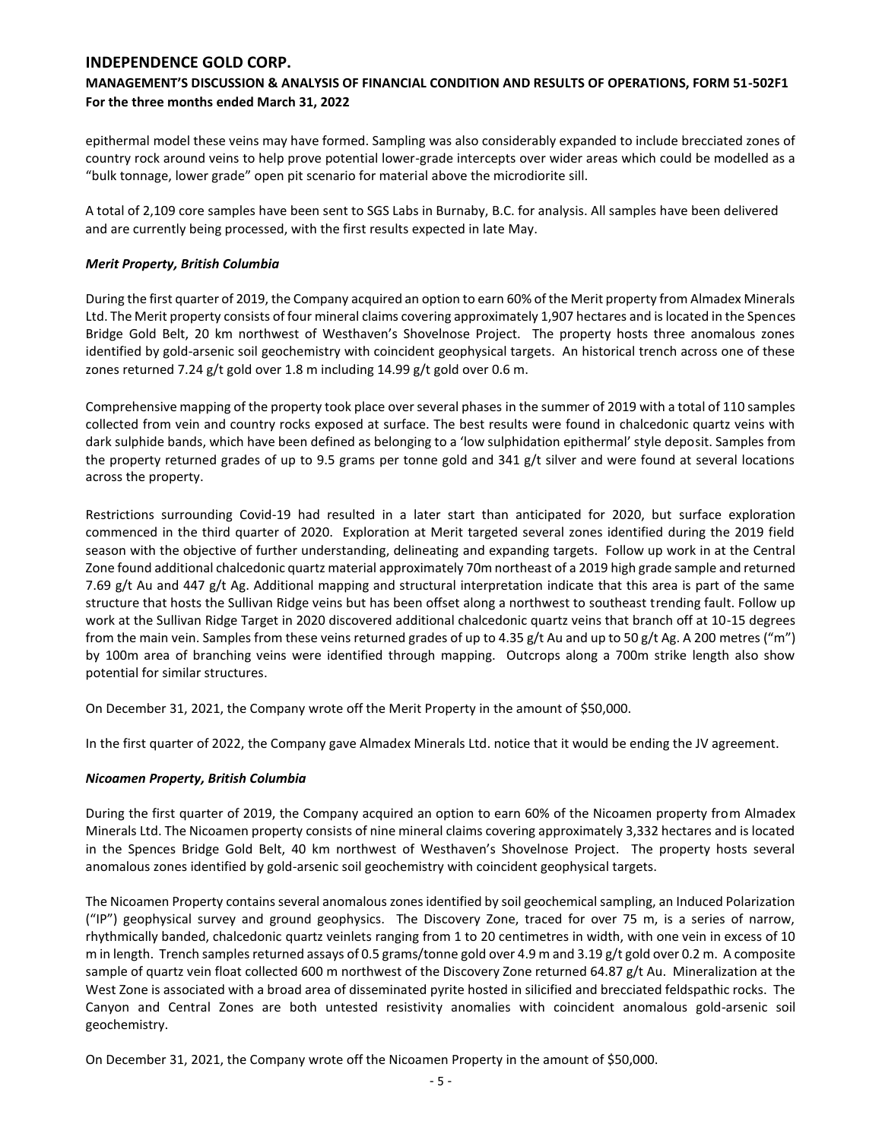# **MANAGEMENT'S DISCUSSION & ANALYSIS OF FINANCIAL CONDITION AND RESULTS OF OPERATIONS, FORM 51-502F1 For the three months ended March 31, 2022**

epithermal model these veins may have formed. Sampling was also considerably expanded to include brecciated zones of country rock around veins to help prove potential lower-grade intercepts over wider areas which could be modelled as a "bulk tonnage, lower grade" open pit scenario for material above the microdiorite sill.

A total of 2,109 core samples have been sent to SGS Labs in Burnaby, B.C. for analysis. All samples have been delivered and are currently being processed, with the first results expected in late May.

### *Merit Property, British Columbia*

During the first quarter of 2019, the Company acquired an option to earn 60% of the Merit property from Almadex Minerals Ltd. The Merit property consists of four mineral claims covering approximately 1,907 hectares and is located in the Spences Bridge Gold Belt, 20 km northwest of Westhaven's Shovelnose Project. The property hosts three anomalous zones identified by gold-arsenic soil geochemistry with coincident geophysical targets. An historical trench across one of these zones returned 7.24 g/t gold over 1.8 m including 14.99 g/t gold over 0.6 m.

Comprehensive mapping of the property took place over several phases in the summer of 2019 with a total of 110 samples collected from vein and country rocks exposed at surface. The best results were found in chalcedonic quartz veins with dark sulphide bands, which have been defined as belonging to a 'low sulphidation epithermal' style deposit. Samples from the property returned grades of up to 9.5 grams per tonne gold and 341 g/t silver and were found at several locations across the property.

Restrictions surrounding Covid-19 had resulted in a later start than anticipated for 2020, but surface exploration commenced in the third quarter of 2020. Exploration at Merit targeted several zones identified during the 2019 field season with the objective of further understanding, delineating and expanding targets. Follow up work in at the Central Zone found additional chalcedonic quartz material approximately 70m northeast of a 2019 high grade sample and returned 7.69 g/t Au and 447 g/t Ag. Additional mapping and structural interpretation indicate that this area is part of the same structure that hosts the Sullivan Ridge veins but has been offset along a northwest to southeast trending fault. Follow up work at the Sullivan Ridge Target in 2020 discovered additional chalcedonic quartz veins that branch off at 10-15 degrees from the main vein. Samples from these veins returned grades of up to 4.35 g/t Au and up to 50 g/t Ag. A 200 metres ("m") by 100m area of branching veins were identified through mapping. Outcrops along a 700m strike length also show potential for similar structures.

On December 31, 2021, the Company wrote off the Merit Property in the amount of \$50,000.

In the first quarter of 2022, the Company gave Almadex Minerals Ltd. notice that it would be ending the JV agreement.

## *Nicoamen Property, British Columbia*

During the first quarter of 2019, the Company acquired an option to earn 60% of the Nicoamen property from Almadex Minerals Ltd. The Nicoamen property consists of nine mineral claims covering approximately 3,332 hectares and is located in the Spences Bridge Gold Belt, 40 km northwest of Westhaven's Shovelnose Project. The property hosts several anomalous zones identified by gold-arsenic soil geochemistry with coincident geophysical targets.

The Nicoamen Property contains several anomalous zones identified by soil geochemical sampling, an Induced Polarization ("IP") geophysical survey and ground geophysics. The Discovery Zone, traced for over 75 m, is a series of narrow, rhythmically banded, chalcedonic quartz veinlets ranging from 1 to 20 centimetres in width, with one vein in excess of 10 m in length. Trench samples returned assays of 0.5 grams/tonne gold over 4.9 m and 3.19 g/t gold over 0.2 m. A composite sample of quartz vein float collected 600 m northwest of the Discovery Zone returned 64.87 g/t Au. Mineralization at the West Zone is associated with a broad area of disseminated pyrite hosted in silicified and brecciated feldspathic rocks. The Canyon and Central Zones are both untested resistivity anomalies with coincident anomalous gold-arsenic soil geochemistry.

On December 31, 2021, the Company wrote off the Nicoamen Property in the amount of \$50,000.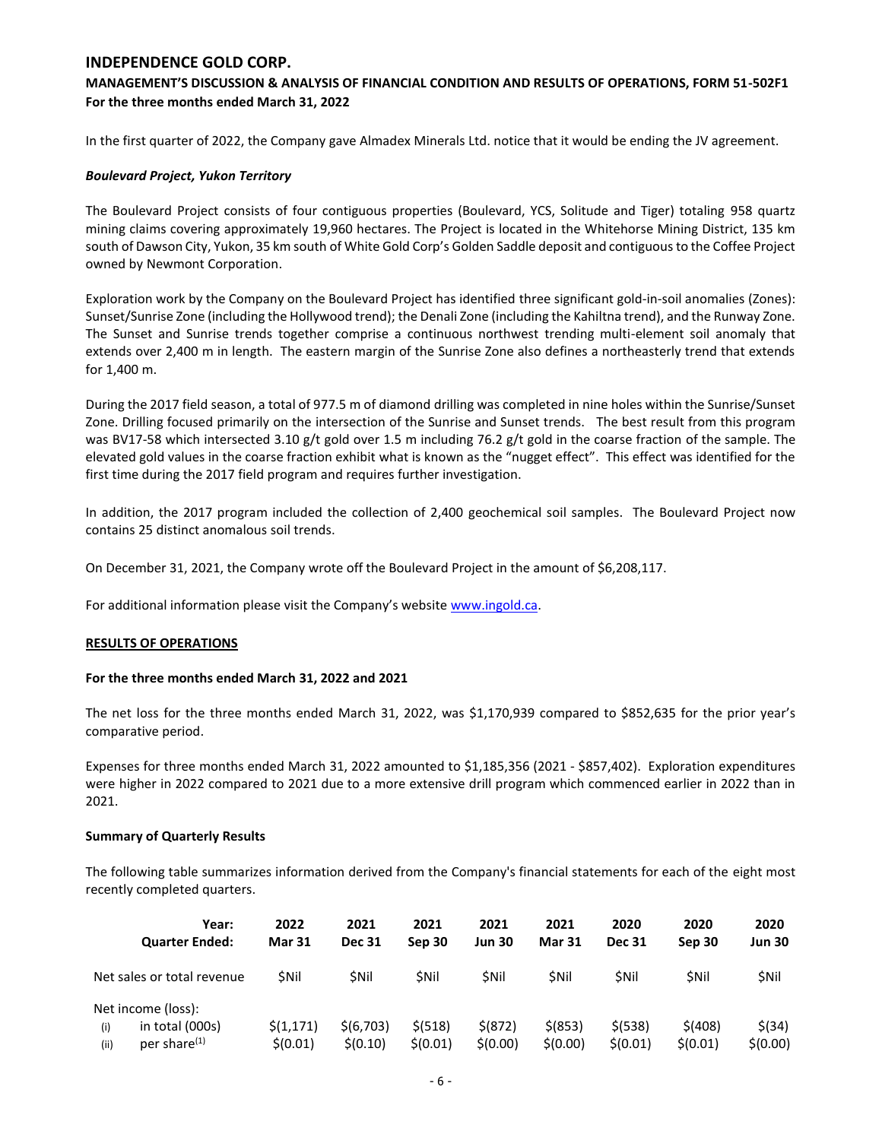## **MANAGEMENT'S DISCUSSION & ANALYSIS OF FINANCIAL CONDITION AND RESULTS OF OPERATIONS, FORM 51-502F1 For the three months ended March 31, 2022**

In the first quarter of 2022, the Company gave Almadex Minerals Ltd. notice that it would be ending the JV agreement.

### *Boulevard Project, Yukon Territory*

The Boulevard Project consists of four contiguous properties (Boulevard, YCS, Solitude and Tiger) totaling 958 quartz mining claims covering approximately 19,960 hectares. The Project is located in the Whitehorse Mining District, 135 km south of Dawson City, Yukon, 35 km south of White Gold Corp's Golden Saddle deposit and contiguous to the Coffee Project owned by Newmont Corporation.

Exploration work by the Company on the Boulevard Project has identified three significant gold-in-soil anomalies (Zones): Sunset/Sunrise Zone (including the Hollywood trend); the Denali Zone (including the Kahiltna trend), and the Runway Zone. The Sunset and Sunrise trends together comprise a continuous northwest trending multi-element soil anomaly that extends over 2,400 m in length. The eastern margin of the Sunrise Zone also defines a northeasterly trend that extends for 1,400 m.

During the 2017 field season, a total of 977.5 m of diamond drilling was completed in nine holes within the Sunrise/Sunset Zone. Drilling focused primarily on the intersection of the Sunrise and Sunset trends. The best result from this program was BV17-58 which intersected 3.10 g/t gold over 1.5 m including 76.2 g/t gold in the coarse fraction of the sample. The elevated gold values in the coarse fraction exhibit what is known as the "nugget effect". This effect was identified for the first time during the 2017 field program and requires further investigation.

In addition, the 2017 program included the collection of 2,400 geochemical soil samples. The Boulevard Project now contains 25 distinct anomalous soil trends.

On December 31, 2021, the Company wrote off the Boulevard Project in the amount of \$6,208,117.

For additional information please visit the Company's website [www.ingold.ca.](http://www.ingold.ca/)

#### **RESULTS OF OPERATIONS**

#### **For the three months ended March 31, 2022 and 2021**

The net loss for the three months ended March 31, 2022, was \$1,170,939 compared to \$852,635 for the prior year's comparative period.

Expenses for three months ended March 31, 2022 amounted to \$1,185,356 (2021 - \$857,402). Exploration expenditures were higher in 2022 compared to 2021 due to a more extensive drill program which commenced earlier in 2022 than in 2021.

#### **Summary of Quarterly Results**

The following table summarizes information derived from the Company's financial statements for each of the eight most recently completed quarters.

| Year:                            | 2022          | 2021          | 2021        | 2021          | 2021          | 2020          | 2020        | 2020          |
|----------------------------------|---------------|---------------|-------------|---------------|---------------|---------------|-------------|---------------|
| <b>Quarter Ended:</b>            | <b>Mar 31</b> | <b>Dec 31</b> | Sep 30      | <b>Jun 30</b> | <b>Mar 31</b> | <b>Dec 31</b> | Sep 30      | <b>Jun 30</b> |
| Net sales or total revenue       | <b>SNII</b>   | <b>SNII</b>   | <b>SNil</b> | <b>SNil</b>   | <b>SNil</b>   | <b>SNil</b>   | <b>SNil</b> | <b>SNil</b>   |
| Net income (loss):               |               |               |             |               |               |               |             |               |
| in total (000s)<br>(i)           | \$(1,171)     | \$(6,703)     | \$ (518)    | \$ (872)      | $$$ (853)     | $$$ (538)     | \$(408)     | $$$ (34)      |
| per share <sup>(1)</sup><br>(ii) | \$(0.01)      | \$(0.10)      | 5(0.01)     | \$(0.00)      | \$(0.00)      | \$(0.01)      | \$(0.01)    | \$(0.00)      |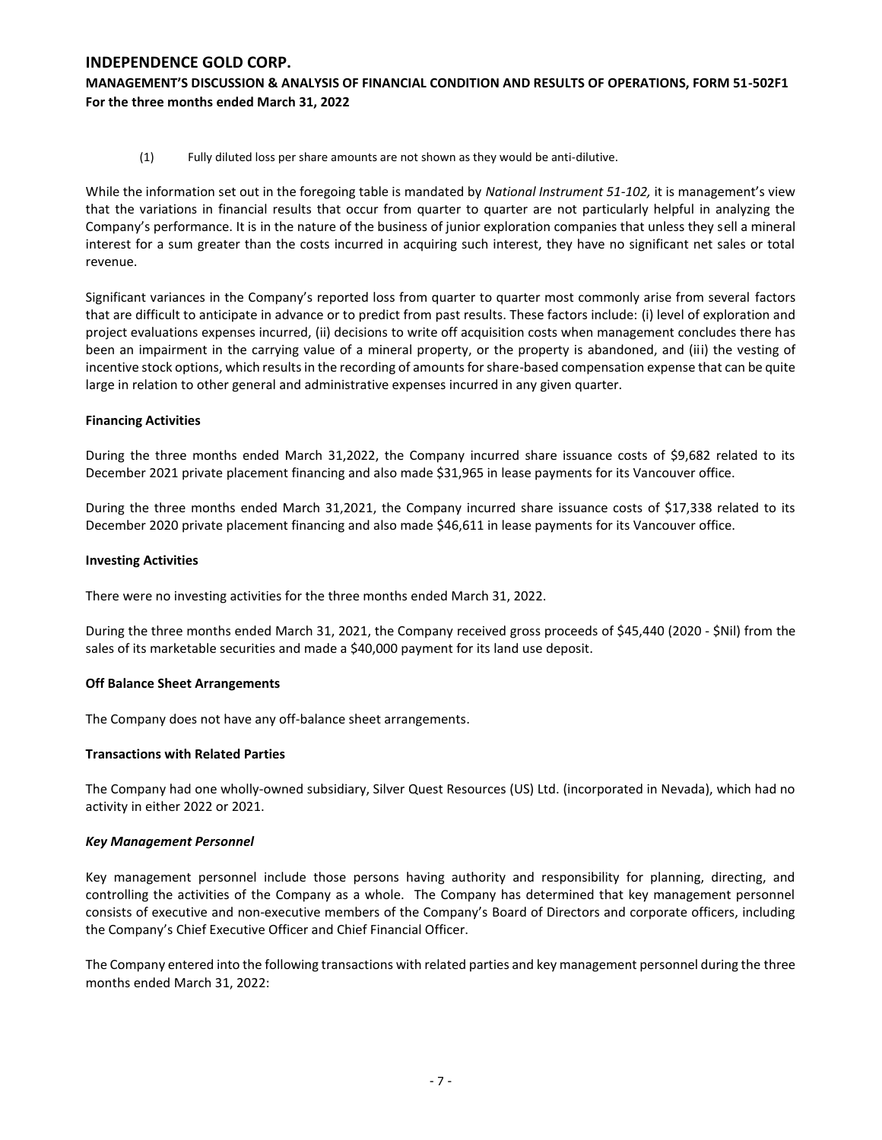**MANAGEMENT'S DISCUSSION & ANALYSIS OF FINANCIAL CONDITION AND RESULTS OF OPERATIONS, FORM 51-502F1 For the three months ended March 31, 2022**

(1) Fully diluted loss per share amounts are not shown as they would be anti-dilutive.

While the information set out in the foregoing table is mandated by *National Instrument 51-102,* it is management's view that the variations in financial results that occur from quarter to quarter are not particularly helpful in analyzing the Company's performance. It is in the nature of the business of junior exploration companies that unless they sell a mineral interest for a sum greater than the costs incurred in acquiring such interest, they have no significant net sales or total revenue.

Significant variances in the Company's reported loss from quarter to quarter most commonly arise from several factors that are difficult to anticipate in advance or to predict from past results. These factors include: (i) level of exploration and project evaluations expenses incurred, (ii) decisions to write off acquisition costs when management concludes there has been an impairment in the carrying value of a mineral property, or the property is abandoned, and (iii) the vesting of incentive stock options, which results in the recording of amounts for share-based compensation expense that can be quite large in relation to other general and administrative expenses incurred in any given quarter.

## **Financing Activities**

During the three months ended March 31,2022, the Company incurred share issuance costs of \$9,682 related to its December 2021 private placement financing and also made \$31,965 in lease payments for its Vancouver office.

During the three months ended March 31,2021, the Company incurred share issuance costs of \$17,338 related to its December 2020 private placement financing and also made \$46,611 in lease payments for its Vancouver office.

## **Investing Activities**

There were no investing activities for the three months ended March 31, 2022.

During the three months ended March 31, 2021, the Company received gross proceeds of \$45,440 (2020 - \$Nil) from the sales of its marketable securities and made a \$40,000 payment for its land use deposit.

## **Off Balance Sheet Arrangements**

The Company does not have any off-balance sheet arrangements.

## **Transactions with Related Parties**

The Company had one wholly-owned subsidiary, Silver Quest Resources (US) Ltd. (incorporated in Nevada), which had no activity in either 2022 or 2021.

## *Key Management Personnel*

Key management personnel include those persons having authority and responsibility for planning, directing, and controlling the activities of the Company as a whole. The Company has determined that key management personnel consists of executive and non-executive members of the Company's Board of Directors and corporate officers, including the Company's Chief Executive Officer and Chief Financial Officer.

The Company entered into the following transactions with related parties and key management personnel during the three months ended March 31, 2022: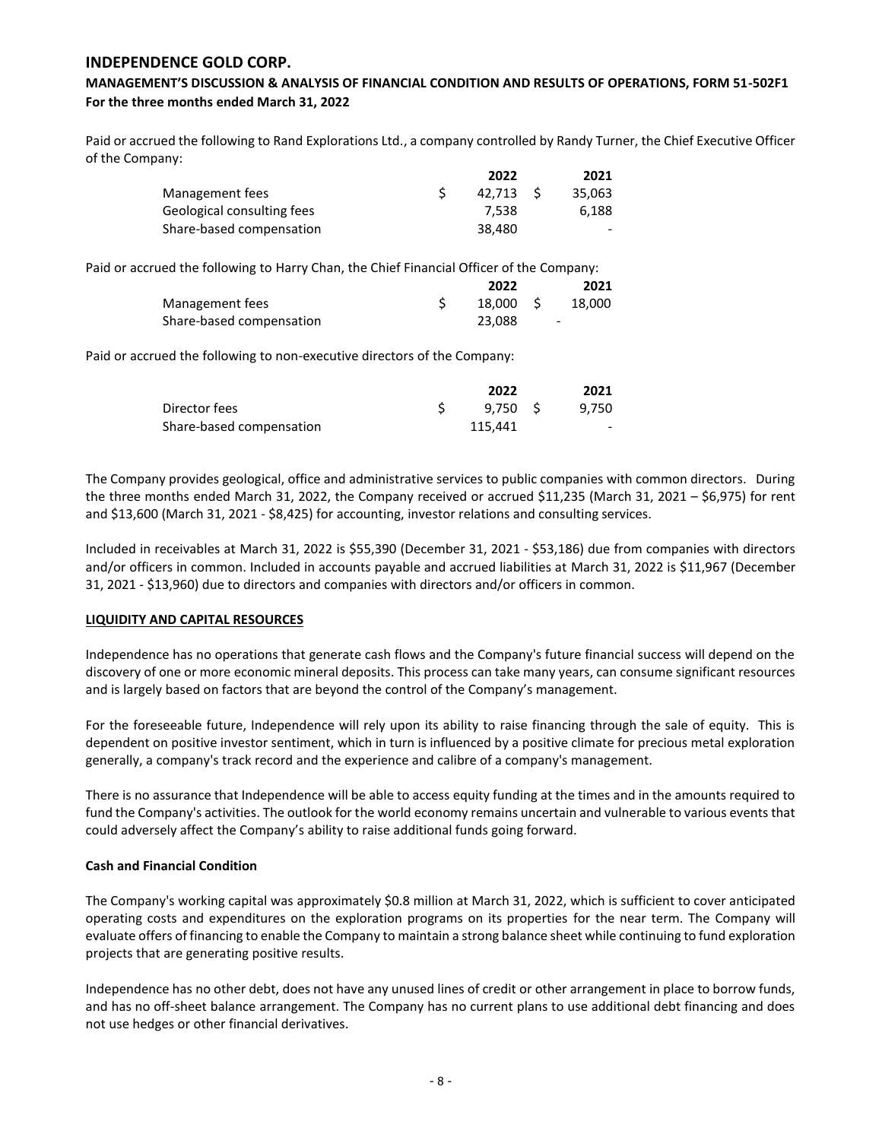## **MANAGEMENT'S DISCUSSION & ANALYSIS OF FINANCIAL CONDITION AND RESULTS OF OPERATIONS, FORM 51-502F1 For the three months ended March 31, 2022**

Paid or accrued the following to Rand Explorations Ltd., a company controlled by Randy Turner, the Chief Executive Officer of the Company:

|                            | 2022   | 2021   |
|----------------------------|--------|--------|
| Management fees            | 42.713 | 35.063 |
| Geological consulting fees | 7.538  | 6.188  |
| Share-based compensation   | 38.480 | $\sim$ |

Paid or accrued the following to Harry Chan, the Chief Financial Officer of the Company:

|                          | 2022     | 2021                     |
|--------------------------|----------|--------------------------|
| Management fees          | 18.000 S | 18.000                   |
| Share-based compensation | 23.088   | $\overline{\phantom{0}}$ |

Paid or accrued the following to non-executive directors of the Company:

|                          | 2022    | 2021   |
|--------------------------|---------|--------|
| Director fees            | 9.750 S | 9.750  |
| Share-based compensation | 115.441 | $\sim$ |

The Company provides geological, office and administrative services to public companies with common directors. During the three months ended March 31, 2022, the Company received or accrued \$11,235 (March 31, 2021 – \$6,975) for rent and \$13,600 (March 31, 2021 - \$8,425) for accounting, investor relations and consulting services.

Included in receivables at March 31, 2022 is \$55,390 (December 31, 2021 - \$53,186) due from companies with directors and/or officers in common. Included in accounts payable and accrued liabilities at March 31, 2022 is \$11,967 (December 31, 2021 - \$13,960) due to directors and companies with directors and/or officers in common.

## **LIQUIDITY AND CAPITAL RESOURCES**

Independence has no operations that generate cash flows and the Company's future financial success will depend on the discovery of one or more economic mineral deposits. This process can take many years, can consume significant resources and is largely based on factors that are beyond the control of the Company's management.

For the foreseeable future, Independence will rely upon its ability to raise financing through the sale of equity. This is dependent on positive investor sentiment, which in turn is influenced by a positive climate for precious metal exploration generally, a company's track record and the experience and calibre of a company's management.

There is no assurance that Independence will be able to access equity funding at the times and in the amounts required to fund the Company's activities. The outlook for the world economy remains uncertain and vulnerable to various events that could adversely affect the Company's ability to raise additional funds going forward.

#### **Cash and Financial Condition**

The Company's working capital was approximately \$0.8 million at March 31, 2022, which is sufficient to cover anticipated operating costs and expenditures on the exploration programs on its properties for the near term. The Company will evaluate offers of financing to enable the Company to maintain a strong balance sheet while continuing to fund exploration projects that are generating positive results.

Independence has no other debt, does not have any unused lines of credit or other arrangement in place to borrow funds, and has no off-sheet balance arrangement. The Company has no current plans to use additional debt financing and does not use hedges or other financial derivatives.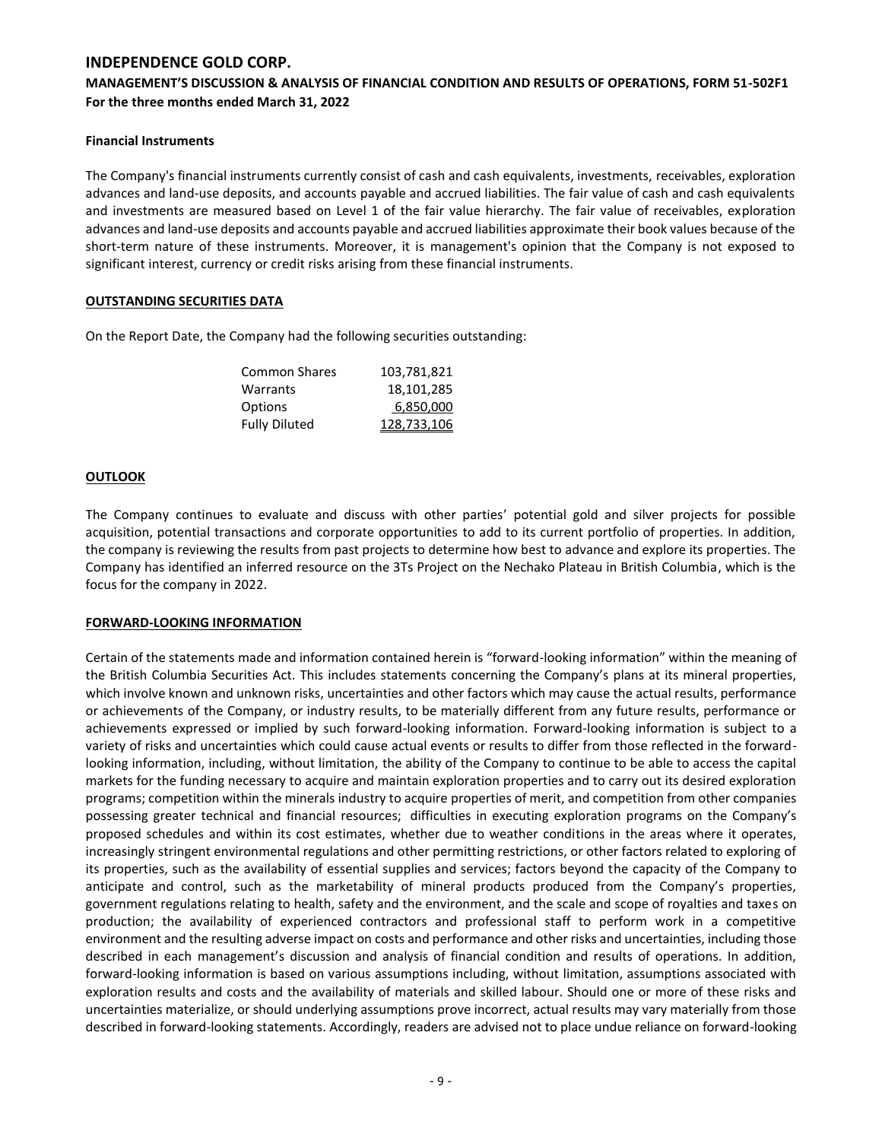## **MANAGEMENT'S DISCUSSION & ANALYSIS OF FINANCIAL CONDITION AND RESULTS OF OPERATIONS, FORM 51-502F1 For the three months ended March 31, 2022**

### **Financial Instruments**

The Company's financial instruments currently consist of cash and cash equivalents, investments, receivables, exploration advances and land-use deposits, and accounts payable and accrued liabilities. The fair value of cash and cash equivalents and investments are measured based on Level 1 of the fair value hierarchy. The fair value of receivables, exploration advances and land-use deposits and accounts payable and accrued liabilities approximate their book values because of the short-term nature of these instruments. Moreover, it is management's opinion that the Company is not exposed to significant interest, currency or credit risks arising from these financial instruments.

### **OUTSTANDING SECURITIES DATA**

On the Report Date, the Company had the following securities outstanding:

| <b>Common Shares</b> | 103,781,821 |
|----------------------|-------------|
| Warrants             | 18,101,285  |
| Options              | 6,850,000   |
| <b>Fully Diluted</b> | 128,733,106 |

### **OUTLOOK**

The Company continues to evaluate and discuss with other parties' potential gold and silver projects for possible acquisition, potential transactions and corporate opportunities to add to its current portfolio of properties. In addition, the company is reviewing the results from past projects to determine how best to advance and explore its properties. The Company has identified an inferred resource on the 3Ts Project on the Nechako Plateau in British Columbia, which is the focus for the company in 2022.

## **FORWARD-LOOKING INFORMATION**

Certain of the statements made and information contained herein is "forward-looking information" within the meaning of the British Columbia Securities Act. This includes statements concerning the Company's plans at its mineral properties, which involve known and unknown risks, uncertainties and other factors which may cause the actual results, performance or achievements of the Company, or industry results, to be materially different from any future results, performance or achievements expressed or implied by such forward-looking information. Forward-looking information is subject to a variety of risks and uncertainties which could cause actual events or results to differ from those reflected in the forwardlooking information, including, without limitation, the ability of the Company to continue to be able to access the capital markets for the funding necessary to acquire and maintain exploration properties and to carry out its desired exploration programs; competition within the minerals industry to acquire properties of merit, and competition from other companies possessing greater technical and financial resources; difficulties in executing exploration programs on the Company's proposed schedules and within its cost estimates, whether due to weather conditions in the areas where it operates, increasingly stringent environmental regulations and other permitting restrictions, or other factors related to exploring of its properties, such as the availability of essential supplies and services; factors beyond the capacity of the Company to anticipate and control, such as the marketability of mineral products produced from the Company's properties, government regulations relating to health, safety and the environment, and the scale and scope of royalties and taxes on production; the availability of experienced contractors and professional staff to perform work in a competitive environment and the resulting adverse impact on costs and performance and other risks and uncertainties, including those described in each management's discussion and analysis of financial condition and results of operations. In addition, forward-looking information is based on various assumptions including, without limitation, assumptions associated with exploration results and costs and the availability of materials and skilled labour. Should one or more of these risks and uncertainties materialize, or should underlying assumptions prove incorrect, actual results may vary materially from those described in forward-looking statements. Accordingly, readers are advised not to place undue reliance on forward-looking